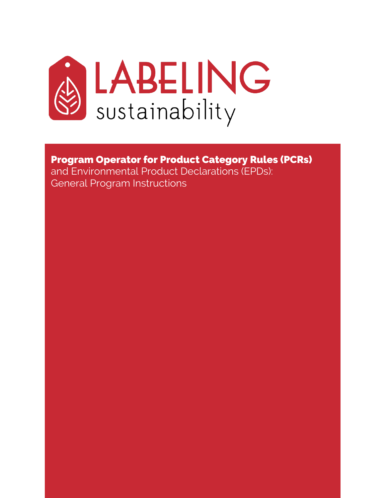

Program Operator for Product Category Rules (PCRs) and Environmental Product Declarations (EPDs): General Program Instructions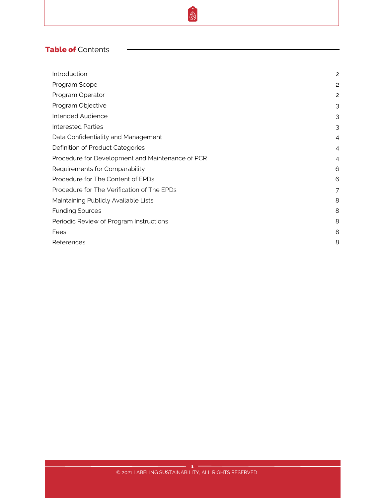# Table of Contents

| Introduction                                     | $\overline{c}$ |
|--------------------------------------------------|----------------|
| Program Scope                                    | $\overline{c}$ |
| Program Operator                                 | 2              |
| Program Objective                                | 3              |
| Intended Audience                                | 3              |
| <b>Interested Parties</b>                        | 3              |
| Data Confidentiality and Management              | $\overline{4}$ |
| Definition of Product Categories                 | $\overline{4}$ |
| Procedure for Development and Maintenance of PCR | $\overline{4}$ |
| Requirements for Comparability                   | 6              |
| Procedure for The Content of EPDs                | 6              |
| Procedure for The Verification of The EPDs       | 7              |
| Maintaining Publicly Available Lists             | 8              |
| <b>Funding Sources</b>                           | 8              |
| Periodic Review of Program Instructions          | 8              |
| Fees                                             | 8              |
| References                                       | 8              |

®.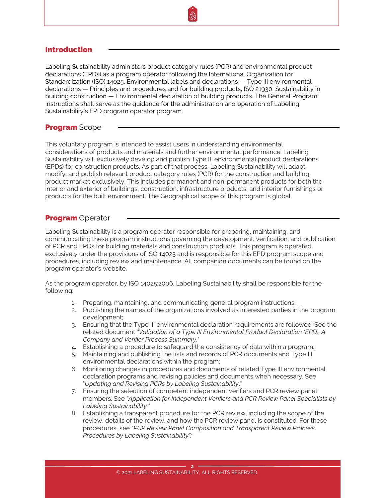## <span id="page-2-0"></span>Introduction

Labeling Sustainability administers product category rules (PCR) and environmental product declarations (EPDs) as a program operator following the International Organization for Standardization (ISO) 14025, Environmental labels and declarations — Type III environmental declarations — Principles and procedures and for building products, ISO 21930, Sustainability in building construction — Environmental declaration of building products. The General Program Instructions shall serve as the guidance for the administration and operation of Labeling Sustainability's EPD program operator program.

## **Program Scope**

This voluntary program is intended to assist users in understanding environmental considerations of products and materials and further environmental performance. Labeling Sustainability will exclusively develop and publish Type III environmental product declarations (EPDs) for construction products. As part of that process, Labeling Sustainability will adapt, modify, and publish relevant product category rules (PCR) for the construction and building product market exclusively. This includes permanent and non-permanent products for both the interior and exterior of buildings, construction, infrastructure products, and interior furnishings or products for the built environment. The Geographical scope of this program is global.

## **Program** Operator

Labeling Sustainability is a program operator responsible for preparing, maintaining, and communicating these program instructions governing the development, verification, and publication of PCR and EPDs for building materials and construction products. This program is operated exclusively under the provisions of ISO 14025 and is responsible for this EPD program scope and procedures, including review and maintenance. All companion documents can be found on the program operator's website.

As the program operator, by ISO 14025:2006, Labeling Sustainability shall be responsible for the following:

- 1. Preparing, maintaining, and communicating general program instructions;
- 2. Publishing the names of the organizations involved as interested parties in the program development;
- 3. Ensuring that the Type III environmental declaration requirements are followed. See the related document *"Validation of a Type III Environmental Product Declaration (EPD), A Company and Verifier Process Summary."*
- 4. Establishing a procedure to safeguard the consistency of data within a program;
- 5. Maintaining and publishing the lists and records of PCR documents and Type III environmental declarations within the program;
- 6. Monitoring changes in procedures and documents of related Type III environmental declaration programs and revising policies and documents when necessary. See "*Updating and Revising PCRs by Labeling Sustainability*."
- 7. Ensuring the selection of competent independent verifiers and PCR review panel members. See *"Application for Independent Verifiers and PCR Review Panel Specialists by Labeling Sustainability."*
- 8. Establishing a transparent procedure for the PCR review, including the scope of the review, details of the review, and how the PCR review panel is constituted. For these procedures, see "*PCR Review Panel Composition and Transparent Review Process Procedures by Labeling Sustainability";*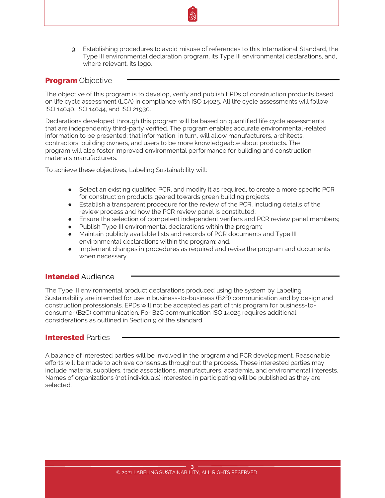<span id="page-3-0"></span>9. Establishing procedures to avoid misuse of references to this International Standard, the Type III environmental declaration program, its Type III environmental declarations, and, where relevant, its logo.

### **Program Objective**

The objective of this program is to develop, verify and publish EPDs of construction products based on life cycle assessment (LCA) in compliance with ISO 14025. All life cycle assessments will follow ISO 14040, ISO 14044, and ISO 21930.

Declarations developed through this program will be based on quantified life cycle assessments that are independently third-party verified. The program enables accurate environmental-related information to be presented; that information, in turn, will allow manufacturers, architects, contractors, building owners, and users to be more knowledgeable about products. The program will also foster improved environmental performance for building and construction materials manufacturers.

To achieve these objectives, Labeling Sustainability will:

- Select an existing qualified PCR, and modify it as required, to create a more specific PCR for construction products geared towards green building projects;
- Establish a transparent procedure for the review of the PCR, including details of the review process and how the PCR review panel is constituted;
- Ensure the selection of competent independent verifiers and PCR review panel members;
- Publish Type III environmental declarations within the program;
- Maintain publicly available lists and records of PCR documents and Type III environmental declarations within the program; and,
- Implement changes in procedures as required and revise the program and documents when necessary.

#### **Intended Audience**

The Type III environmental product declarations produced using the system by Labeling Sustainability are intended for use in business-to-business (B2B) communication and by design and construction professionals. EPDs will not be accepted as part of this program for business-toconsumer (B2C) communication. For B2C communication ISO 14025 requires additional considerations as outlined in Section 9 of the standard.

## Interested Parties

A balance of interested parties will be involved in the program and PCR development. Reasonable efforts will be made to achieve consensus throughout the process. These interested parties may include material suppliers, trade associations, manufacturers, academia, and environmental interests. Names of organizations (not individuals) interested in participating will be published as they are selected.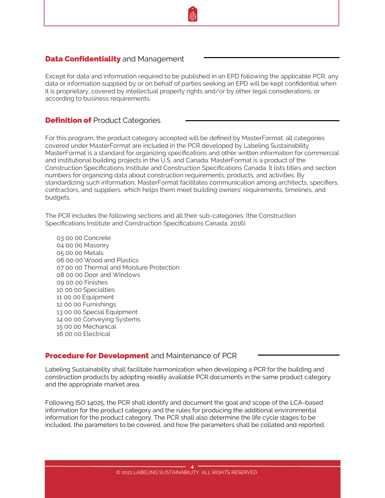## <span id="page-4-0"></span>**Data Confidentiality** and Management

Except for data and information required to be published in an EPD following the applicable PCR, any data or information supplied by or on behalf of parties seeking an EPD will be kept confidential when it is proprietary, covered by intellectual property rights and/or by other legal considerations, or according to business requirements.

### **Definition of Product Categories**

For this program, the product category accepted will be defined by MasterFormat; all categories covered under MasterFormat are included in the PCR developed by Labeling Sustainability. MasterFormat is a standard for organizing specifications and other written information for commercial and institutional building projects in the U.S. and Canada. MasterFormat is a product of the Construction Specifications Institute and Construction Specifications Canada. It lists titles and section numbers for organizing data about construction requirements, products, and activities. By standardizing such information, MasterFormat facilitates communication among architects, specifiers, contractors, and suppliers, which helps them meet building owners' requirements, timelines, and budgets.

The PCR includes the following sections and all their sub-categories: (the Construction Specifications Institute and Construction Specifications Canada, 2016)

03 00 00 Concrete 04 00 00 Masonry 05 00 00 Metals 06 00 00 Wood and Plastics 07 00 00 Thermal and Moisture Protection 08 00 00 Door and Windows 09 00 00 Finishes 10 00 00 Specialties 11 00 00 Equipment 12 00 00 Furnishings 13 00 00 Special Equipment 14 00 00 Conveying Systems 15 00 00 Mechanical 16 00 00 Electrical

#### **Procedure for Development** and Maintenance of PCR

Labeling Sustainability shall facilitate harmonization when developing a PCR for the building and construction products by adopting readily available PCR documents in the same product category and the appropriate market area.

Following ISO 14025, the PCR shall identify and document the goal and scope of the LCA-based information for the product category and the rules for producing the additional environmental information for the product category. The PCR shall also determine the life cycle stages to be included, the parameters to be covered, and how the parameters shall be collated and reported.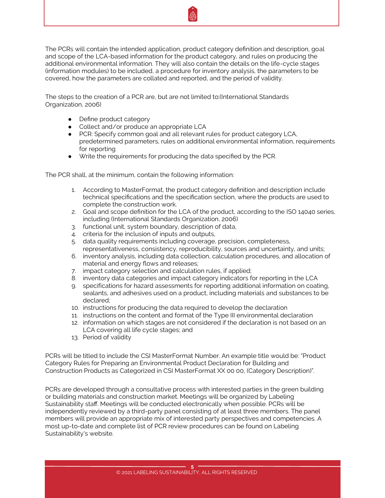The PCRs will contain the intended application, product category definition and description, goal and scope of the LCA-based information for the product category, and rules on producing the additional environmental information. They will also contain the details on the life-cycle stages (information modules) to be included, a procedure for inventory analysis, the parameters to be covered, how the parameters are collated and reported, and the period of validity.

The steps to the creation of a PCR are, but are not limited to:(International Standards Organization, 2006)

- Define product category
- Collect and/or produce an appropriate LCA
- PCR: Specify common goal and all relevant rules for product category LCA, predetermined parameters, rules on additional environmental information, requirements for reporting
- Write the requirements for producing the data specified by the PCR.

The PCR shall, at the minimum, contain the following information:

- 1. According to MasterFormat, the product category definition and description include technical specifications and the specification section, where the products are used to complete the construction work.
- 2. Goal and scope definition for the LCA of the product, according to the ISO 14040 series, including (International Standards Organization, 2006)
- 3. functional unit, system boundary, description of data,
- 4. criteria for the inclusion of inputs and outputs,
- 5. data quality requirements including coverage, precision, completeness, representativeness, consistency, reproducibility, sources and uncertainty, and units;
- 6. inventory analysis, including data collection, calculation procedures, and allocation of material and energy flows and releases;
- 7. impact category selection and calculation rules, if applied;
- 8. inventory data categories and impact category indicators for reporting in the LCA
- 9. specifications for hazard assessments for reporting additional information on coating, sealants, and adhesives used on a product, including materials and substances to be declared;
- 10. instructions for producing the data required to develop the declaration
- 11. instructions on the content and format of the Type III environmental declaration
- 12. information on which stages are not considered if the declaration is not based on an LCA covering all life cycle stages; and
- 13. Period of validity

PCRs will be titled to include the CSI MasterFormat Number. An example title would be: "Product Category Rules for Preparing an Environmental Product Declaration for Building and Construction Products as Categorized in CSI MasterFormat XX 00 00, (Category Description)".

PCRs are developed through a consultative process with interested parties in the green building or building materials and construction market. Meetings will be organized by Labeling Sustainability staff. Meetings will be conducted electronically when possible. PCRs will be independently reviewed by a third-party panel consisting of at least three members. The panel members will provide an appropriate mix of interested party perspectives and competencies. A most up-to-date and complete list of PCR review procedures can be found on Labeling Sustainability's website.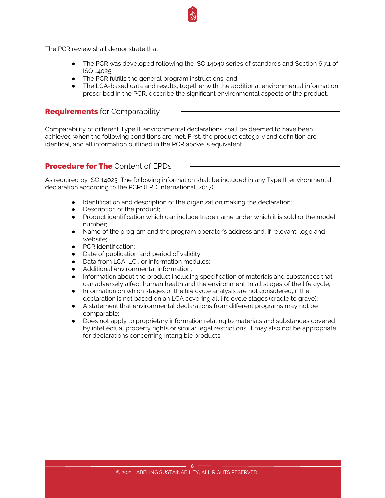<span id="page-6-0"></span>The PCR review shall demonstrate that:

- The PCR was developed following the ISO 14040 series of standards and Section 6.7.1 of ISO 14025;
- The PCR fulfills the general program instructions; and
- The LCA-based data and results, together with the additional environmental information prescribed in the PCR, describe the significant environmental aspects of the product.

## **Requirements** for Comparability

Comparability of different Type III environmental declarations shall be deemed to have been achieved when the following conditions are met. First, the product category and definition are identical, and all information outlined in the PCR above is equivalent.

## **Procedure for The Content of FPDs**

As required by ISO 14025, The following information shall be included in any Type III environmental declaration according to the PCR: (EPD International, 2017)

- Identification and description of the organization making the declaration;
- Description of the product:
- Product identification which can include trade name under which it is sold or the model number;
- Name of the program and the program operator's address and, if relevant, logo and website;
- PCR identification;
- Date of publication and period of validity;
- Data from LCA, LCI, or information modules;
- Additional environmental information;
- Information about the product including specification of materials and substances that can adversely affect human health and the environment, in all stages of the life cycle;
- Information on which stages of the life cycle analysis are not considered, if the declaration is not based on an LCA covering all life cycle stages (cradle to grave);
- A statement that environmental declarations from different programs may not be comparable;
- Does not apply to proprietary information relating to materials and substances covered by intellectual property rights or similar legal restrictions. It may also not be appropriate for declarations concerning intangible products.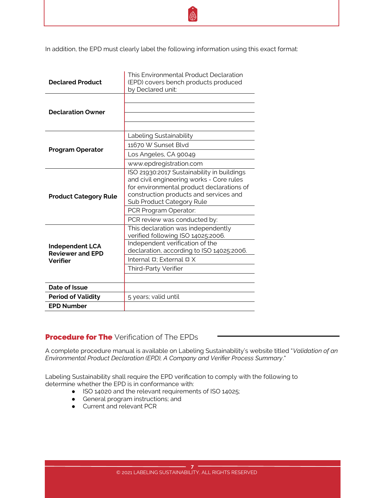<span id="page-7-0"></span>

| <b>Declared Product</b>                                              | This Environmental Product Declaration<br>(EPD) covers bench products produced<br>by Declared unit:                                                                                                          |
|----------------------------------------------------------------------|--------------------------------------------------------------------------------------------------------------------------------------------------------------------------------------------------------------|
| <b>Declaration Owner</b>                                             |                                                                                                                                                                                                              |
| <b>Program Operator</b>                                              | Labeling Sustainability<br>11670 W Sunset Blvd<br>Los Angeles, CA 90049<br>www.epdregistration.com                                                                                                           |
| <b>Product Category Rule</b>                                         | ISO 21930:2017 Sustainability in buildings<br>and civil engineering works - Core rules<br>for environmental product declarations of<br>construction products and services and<br>Sub Product Category Rule   |
|                                                                      | PCR Program Operator:<br>PCR review was conducted by:                                                                                                                                                        |
| <b>Independent LCA</b><br><b>Reviewer and EPD</b><br><b>Verifier</b> | This declaration was independently<br>verified following ISO 14025:2006.<br>Independent verification of the<br>declaration, according to ISO 14025:2006.<br>Internal D; External D X<br>Third-Party Verifier |
| Date of Issue                                                        |                                                                                                                                                                                                              |
| <b>Period of Validity</b>                                            | 5 years; valid until                                                                                                                                                                                         |
| <b>EPD Number</b>                                                    |                                                                                                                                                                                                              |

## **Procedure for The Verification of The EPDs**

A complete procedure manual is available on Labeling Sustainability's website titled "*Validation of an Environmental Product Declaration (EPD), A Company and Verifier Process Summary*."

Labeling Sustainability shall require the EPD verification to comply with the following to determine whether the EPD is in conformance with:

- ISO 14020 and the relevant requirements of ISO 14025;
- General program instructions; and
- Current and relevant PCR